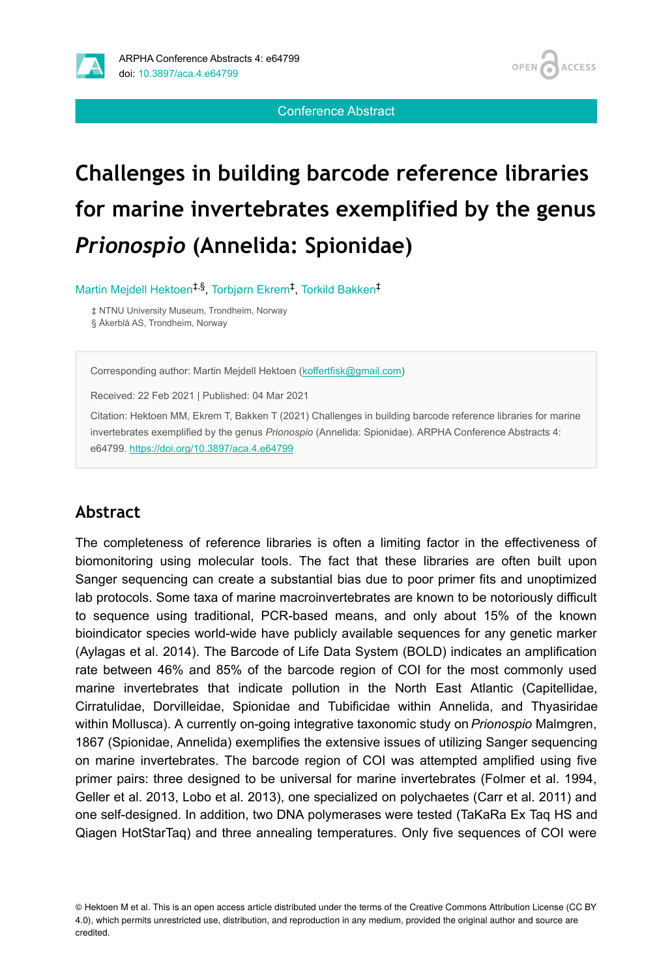**ACCESS OPEN** 

Conference Abstract

# **Challenges in building barcode reference libraries for marine invertebrates exemplified by the genus** *Prionospio* **(Annelida: Spionidae)**

Martin Mejdell Hektoen<sup>‡,§</sup>, Torbjørn Ekrem<sup>‡</sup>, Torkild Bakken<sup>‡</sup>

‡ NTNU University Museum, Trondheim, Norway § Åkerblå AS, Trondheim, Norway

Corresponding author: Martin Mejdell Hektoen [\(koffertfisk@gmail.com](mailto:koffertfisk@gmail.com))

Received: 22 Feb 2021 | Published: 04 Mar 2021

Citation: Hektoen MM, Ekrem T, Bakken T (2021) Challenges in building barcode reference libraries for marine invertebrates exemplified by the genus *Prionospio* (Annelida: Spionidae). ARPHA Conference Abstracts 4: e64799.<https://doi.org/10.3897/aca.4.e64799>

#### **Abstract**

The completeness of reference libraries is often a limiting factor in the effectiveness of biomonitoring using molecular tools. The fact that these libraries are often built upon Sanger sequencing can create a substantial bias due to poor primer fits and unoptimized lab protocols. Some taxa of marine macroinvertebrates are known to be notoriously difficult to sequence using traditional, PCR-based means, and only about 15% of the known bioindicator species world-wide have publicly available sequences for any genetic marker (Aylagas et al. 2014). The Barcode of Life Data System (BOLD) indicates an amplification rate between 46% and 85% of the barcode region of COI for the most commonly used marine invertebrates that indicate pollution in the North East Atlantic (Capitellidae, Cirratulidae, Dorvilleidae, Spionidae and Tubificidae within Annelida, and Thyasiridae within Mollusca). A currently on-going integrative taxonomic study on *Prionospio* Malmgren, 1867 (Spionidae, Annelida) exemplifies the extensive issues of utilizing Sanger sequencing on marine invertebrates. The barcode region of COI was attempted amplified using five primer pairs: three designed to be universal for marine invertebrates (Folmer et al. 1994, Geller et al. 2013, Lobo et al. 2013), one specialized on polychaetes (Carr et al. 2011) and one self-designed. In addition, two DNA polymerases were tested (TaKaRa Ex Taq HS and Qiagen HotStarTaq) and three annealing temperatures. Only five sequences of COI were

<sup>©</sup> Hektoen M et al. This is an open access article distributed under the terms of the Creative Commons Attribution License (CC BY 4.0), which permits unrestricted use, distribution, and reproduction in any medium, provided the original author and source are credited.